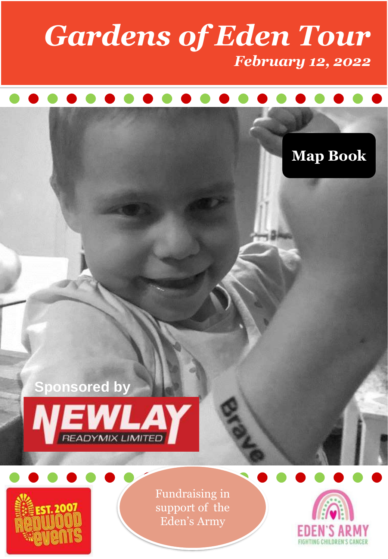### *Gardens of Eden Tour February 12, 2022*

### **Map Book**





Fundraising in support of the Eden's Army

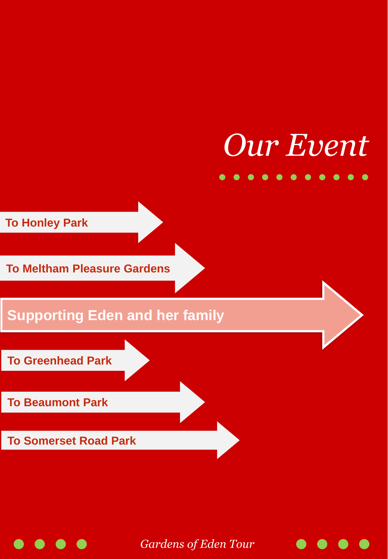# *Our Event*

. . . . . . . .

**To Honley Park**

**To Meltham Pleasure Gardens**

**Supporting Eden and her family**

**To Greenhead Park**

**To Beaumont Park**

**To Somerset Road Park**

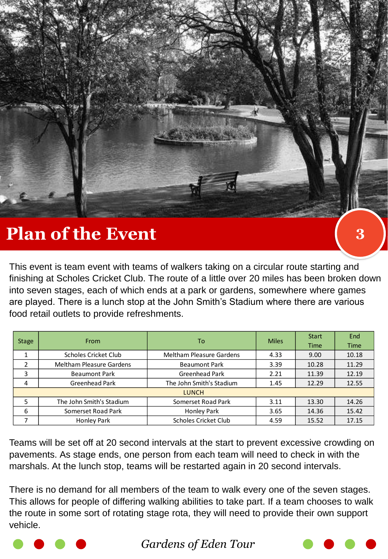

This event is team event with teams of walkers taking on a circular route starting and finishing at Scholes Cricket Club. The route of a little over 20 miles has been broken down into seven stages, each of which ends at a park or gardens, somewhere where games are played. There is a lunch stop at the John Smith's Stadium where there are various food retail outlets to provide refreshments.

| <b>Stage</b> | <b>From</b>                     | To                              | <b>Miles</b> | <b>Start</b> | End         |
|--------------|---------------------------------|---------------------------------|--------------|--------------|-------------|
|              |                                 |                                 |              | <b>Time</b>  | <b>Time</b> |
|              | Scholes Cricket Club            | <b>Meltham Pleasure Gardens</b> | 4.33         | 9.00         | 10.18       |
| 2            | <b>Meltham Pleasure Gardens</b> | <b>Beaumont Park</b>            | 3.39         | 10.28        | 11.29       |
| 3            | <b>Beaumont Park</b>            | <b>Greenhead Park</b>           | 2.21         | 11.39        | 12.19       |
| 4            | Greenhead Park                  | The John Smith's Stadium        | 1.45         | 12.29        | 12.55       |
| <b>LUNCH</b> |                                 |                                 |              |              |             |
|              | The John Smith's Stadium        | Somerset Road Park              | 3.11         | 13.30        | 14.26       |
| 6            | Somerset Road Park              | Honley Park                     | 3.65         | 14.36        | 15.42       |
|              | <b>Honley Park</b>              | Scholes Cricket Club            | 4.59         | 15.52        | 17.15       |

Teams will be set off at 20 second intervals at the start to prevent excessive crowding on pavements. As stage ends, one person from each team will need to check in with the marshals. At the lunch stop, teams will be restarted again in 20 second intervals.

There is no demand for all members of the team to walk every one of the seven stages. This allows for people of differing walking abilities to take part. If a team chooses to walk the route in some sort of rotating stage rota, they will need to provide their own support vehicle.



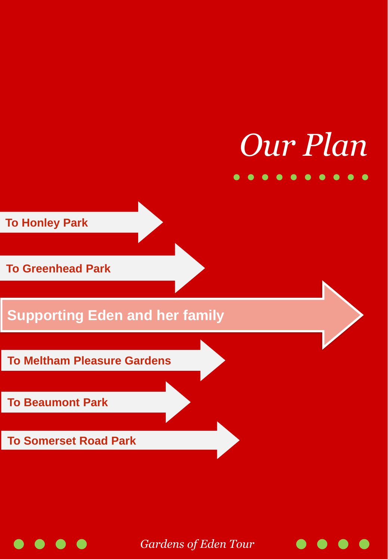## *Our Plan*  $\bullet\; \bullet\; \bullet\; \bullet\; \bullet\; \bullet\; \bullet\; \bullet$

**To Honley Park**

**To Greenhead Park**

**Supporting Eden and her family**

**To Meltham Pleasure Gardens**

**To Beaumont Park**

**To Somerset Road Park**

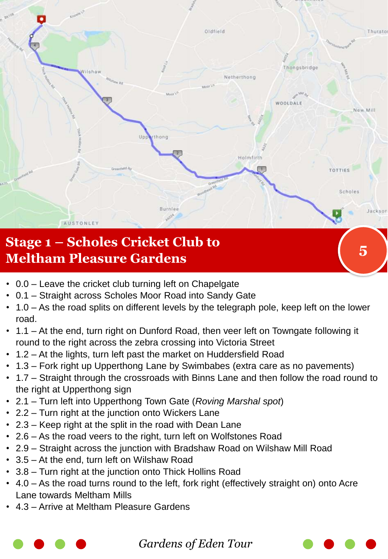

### **Meltham Pleasure Gardens <sup>5</sup>**

- 0.0 Leave the cricket club turning left on Chapelgate
- 0.1 Straight across Scholes Moor Road into Sandy Gate
- 1.0 As the road splits on different levels by the telegraph pole, keep left on the lower road.
- 1.1 At the end, turn right on Dunford Road, then veer left on Towngate following it round to the right across the zebra crossing into Victoria Street
- 1.2 At the lights, turn left past the market on Huddersfield Road
- 1.3 Fork right up Upperthong Lane by Swimbabes (extra care as no pavements)
- 1.7 Straight through the crossroads with Binns Lane and then follow the road round to the right at Upperthong sign
- 2.1 Turn left into Upperthong Town Gate (*Roving Marshal spot*)
- 2.2 Turn right at the junction onto Wickers Lane
- 2.3 Keep right at the split in the road with Dean Lane
- 2.6 As the road veers to the right, turn left on Wolfstones Road
- 2.9 Straight across the junction with Bradshaw Road on Wilshaw Mill Road
- 3.5 At the end, turn left on Wilshaw Road
- 3.8 Turn right at the junction onto Thick Hollins Road
- 4.0 As the road turns round to the left, fork right (effectively straight on) onto Acre Lane towards Meltham Mills
- 4.3 Arrive at Meltham Pleasure Gardens

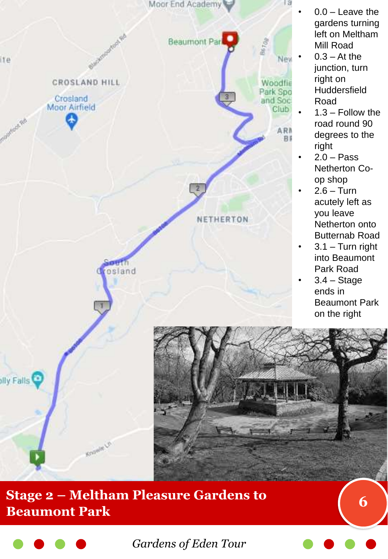

### **Stage 2 – Meltham Pleasure Gardens to Beaumont Park <sup>6</sup>**

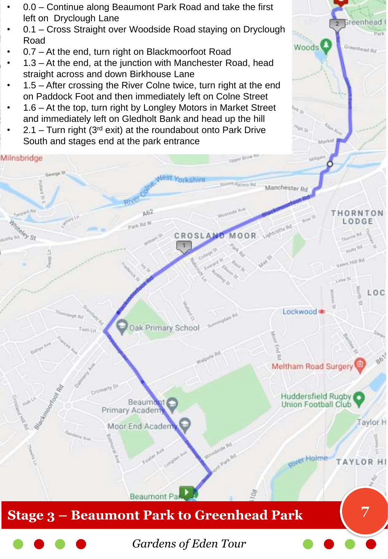- 0.0 Continue along Beaumont Park Road and take the first left on Dryclough Lane
- 0.1 Cross Straight over Woodside Road staying on Dryclough Road

Greenhead

Greenhoed Rd

Woods<sup></sup>

- 0.7 At the end, turn right on Blackmoorfoot Road
- 1.3 At the end, at the junction with Manchester Road, head straight across and down Birkhouse Lane
- 1.5 After crossing the River Colne twice, turn right at the end on Paddock Foot and then immediately left on Colne Street
- 1.6 At the top, turn right by Longley Motors in Market Street and immediately left on Gledholt Bank and head up the hill
- 2.1 Turn right ( $3<sup>rd</sup>$  exit) at the roundabout onto Park Drive South and stages end at the park entrance



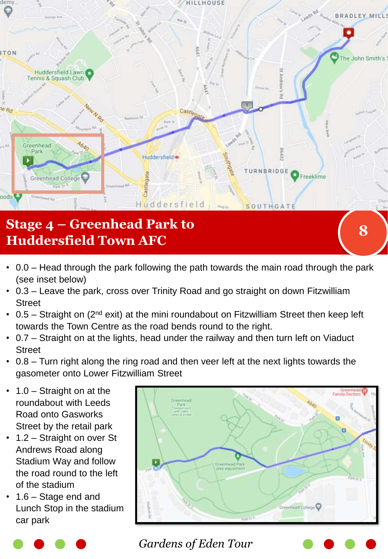

- 0.0 Head through the park following the path towards the main road through the park (see inset below)
- 0.3 Leave the park, cross over Trinity Road and go straight on down Fitzwilliam **Street**
- 0.5 Straight on  $(2^{nd}$  exit) at the mini roundabout on Fitzwilliam Street then keep left towards the Town Centre as the road bends round to the right.
- 0.7 Straight on at the lights, head under the railway and then turn left on Viaduct **Street**
- 0.8 Turn right along the ring road and then veer left at the next lights towards the gasometer onto Lower Fitzwilliam Street
- $1.0 -$  Straight on at the roundabout with Leeds Road onto Gasworks Street by the retail park
- 1.2 Straight on over St Andrews Road along Stadium Way and follow the road round to the left of the stadium
- 1.6 Stage end and Lunch Stop in the stadium car park



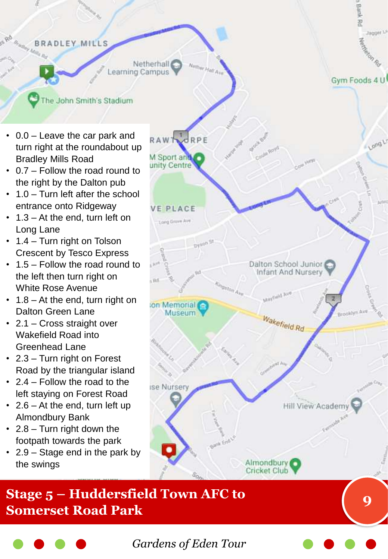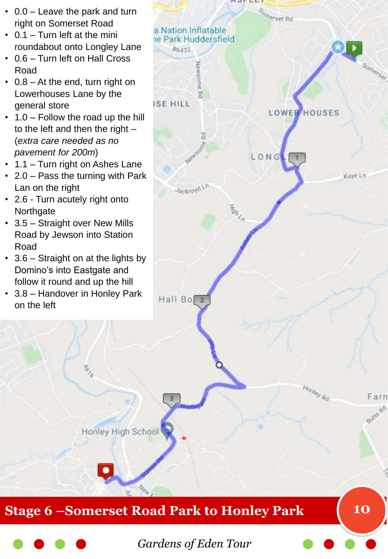- 0.0 Leave the park and turn right on Somerset Road
- 0.1 Turn left at the mini roundabout onto Longley Lane
- 0.6 Turn left on Hall Cross Road
- 0.8 At the end, turn right on Lowerhouses Lane by the general store
- 1.0 Follow the road up the hill to the left and then the right  $-$ (*extra care needed as no pavement for 200m*)
- 1.1 Turn right on Ashes Lane
- 2.0 Pass the turning with Park Lan on the right
- 2.6 Turn acutely right onto **Northgate**
- 3.5 Straight over New Mills Road by Jewson into Station Road
- 3.6 Straight on at the lights by Domino's into Eastgate and follow it round and up the hill
- 3.8 Handover in Honley Park on the left

 $\overline{\sigma}_{\!\scriptscriptstyle\beta}$ 



### **Stage 6 –Somerset Road Park to Honley Park 10**